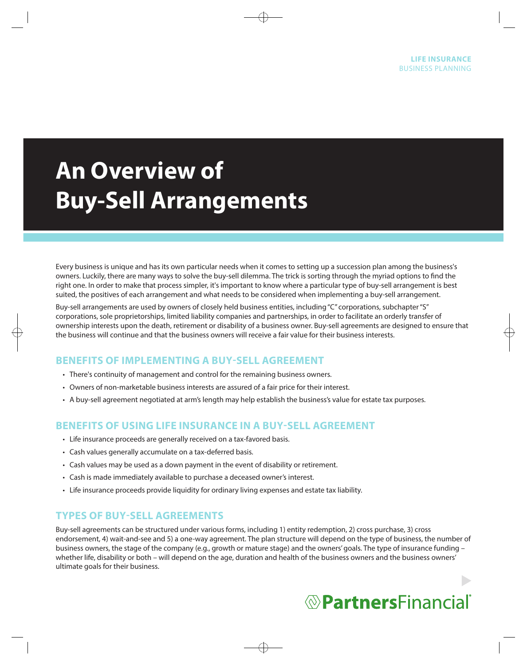# **An Overview of Buy-Sell Arrangements**

Every business is unique and has its own particular needs when it comes to setting up a succession plan among the business's owners. Luckily, there are many ways to solve the buy-sell dilemma. The trick is sorting through the myriad options to find the right one. In order to make that process simpler, it's important to know where a particular type of buy-sell arrangement is best suited, the positives of each arrangement and what needs to be considered when implementing a buy-sell arrangement.

Buy-sell arrangements are used by owners of closely held business entities, including "C" corporations, subchapter "S" corporations, sole proprietorships, limited liability companies and partnerships, in order to facilitate an orderly transfer of ownership interests upon the death, retirement or disability of a business owner. Buy-sell agreements are designed to ensure that the business will continue and that the business owners will receive a fair value for their business interests.

# **BENEFITS OF IMPLEMENTING A BUY-SELL AGREEMENT**

- There's continuity of management and control for the remaining business owners.
- Owners of non-marketable business interests are assured of a fair price for their interest.
- A buy-sell agreement negotiated at arm's length may help establish the business's value for estate tax purposes.

## **BENEFITS OF USING LIFE INSURANCE IN A BUY-SELL AGREEMENT**

- Life insurance proceeds are generally received on a tax-favored basis.
- Cash values generally accumulate on a tax-deferred basis.
- Cash values may be used as a down payment in the event of disability or retirement.
- Cash is made immediately available to purchase a deceased owner's interest.
- Life insurance proceeds provide liquidity for ordinary living expenses and estate tax liability.

## **TYPES OF BUY-SELL AGREEMENTS**

Buy-sell agreements can be structured under various forms, including 1) entity redemption, 2) cross purchase, 3) cross endorsement, 4) wait-and-see and 5) a one-way agreement. The plan structure will depend on the type of business, the number of business owners, the stage of the company (e.g., growth or mature stage) and the owners' goals. The type of insurance funding whether life, disability or both - will depend on the age, duration and health of the business owners and the business owners' ultimate goals for their business.

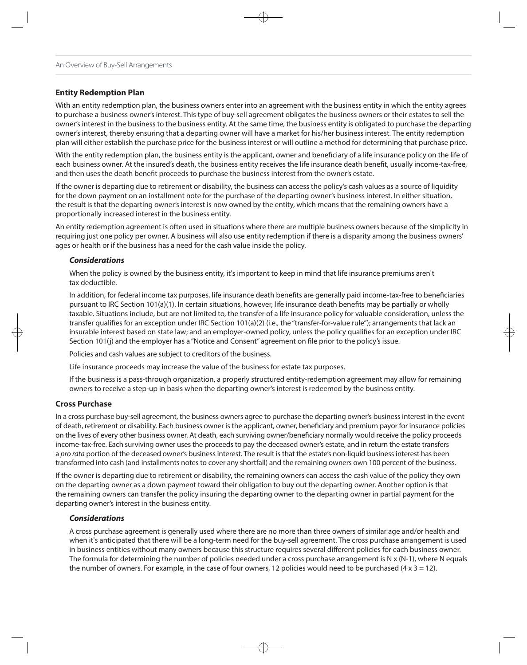#### **Entity Redemption Plan**

With an entity redemption plan, the business owners enter into an agreement with the business entity in which the entity agrees to purchase a business owner's interest. This type of buy-sell agreement obligates the business owners or their estates to sell the owner's interest in the business to the business entity. At the same time, the business entity is obligated to purchase the departing owner's interest, thereby ensuring that a departing owner will have a market for his/her business interest. The entity redemption plan will either establish the purchase price for the business interest or will outline a method for determining that purchase price.

With the entity redemption plan, the business entity is the applicant, owner and beneficiary of a life insurance policy on the life of each business owner. At the insured's death, the business entity receives the life insurance death benefit, usually income-tax-free, and then uses the death benefit proceeds to purchase the business interest from the owner's estate.

If the owner is departing due to retirement or disability, the business can access the policy's cash values as a source of liquidity for the down payment on an installment note for the purchase of the departing owner's business interest. In either situation, the result is that the departing owner's interest is now owned by the entity, which means that the remaining owners have a proportionally increased interest in the business entity.

An entity redemption agreement is often used in situations where there are multiple business owners because of the simplicity in requiring just one policy per owner. A business will also use entity redemption if there is a disparity among the business owners' ages or health or if the business has a need for the cash value inside the policy.

#### **Considerations**

When the policy is owned by the business entity, it's important to keep in mind that life insurance premiums aren't tax deductible.

In addition, for federal income tax purposes, life insurance death benefits are generally paid income-tax-free to beneficiaries pursuant to IRC Section 101(a)(1). In certain situations, however, life insurance death benefits may be partially or wholly taxable. Situations include, but are not limited to, the transfer of a life insurance policy for valuable consideration, unless the transfer qualifies for an exception under IRC Section 101(a)(2) (i.e., the "transfer-for-value rule"); arrangements that lack an insurable interest based on state law; and an employer-owned policy, unless the policy qualifies for an exception under IRC Section 101(j) and the employer has a "Notice and Consent" agreement on file prior to the policy's issue.

Policies and cash values are subject to creditors of the business.

Life insurance proceeds may increase the value of the business for estate tax purposes.

If the business is a pass-through organization, a properly structured entity-redemption agreement may allow for remaining owners to receive a step-up in basis when the departing owner's interest is redeemed by the business entity.

#### **Cross Purchase**

In a cross purchase buy-sell agreement, the business owners agree to purchase the departing owner's business interest in the event of death, retirement or disability. Each business owner is the applicant, owner, beneficiary and premium payor for insurance policies on the lives of every other business owner. At death, each surviving owner/beneficiary normally would receive the policy proceeds income-tax-free. Each surviving owner uses the proceeds to pay the deceased owner's estate, and in return the estate transfers a pro rata portion of the deceased owner's business interest. The result is that the estate's non-liquid business interest has been transformed into cash (and installments notes to cover any shortfall) and the remaining owners own 100 percent of the business.

If the owner is departing due to retirement or disability, the remaining owners can access the cash value of the policy they own on the departing owner as a down payment toward their obligation to buy out the departing owner. Another option is that the remaining owners can transfer the policy insuring the departing owner to the departing owner in partial payment for the departing owner's interest in the business entity.

#### **Considerations**

A cross purchase agreement is generally used where there are no more than three owners of similar age and/or health and when it's anticipated that there will be a long-term need for the buy-sell agreement. The cross purchase arrangement is used in business entities without many owners because this structure requires several different policies for each business owner. The formula for determining the number of policies needed under a cross purchase arrangement is  $N \times (N-1)$ , where N equals the number of owners. For example, in the case of four owners, 12 policies would need to be purchased ( $4 \times 3 = 12$ ).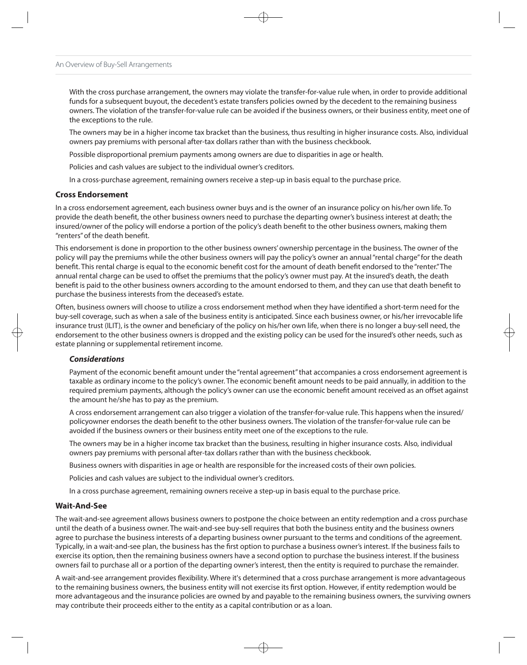With the cross purchase arrangement, the owners may violate the transfer-for-value rule when, in order to provide additional funds for a subsequent buyout, the decedent's estate transfers policies owned by the decedent to the remaining business owners. The violation of the transfer-for-value rule can be avoided if the business owners, or their business entity, meet one of the exceptions to the rule.

The owners may be in a higher income tax bracket than the business, thus resulting in higher insurance costs. Also, individual owners pay premiums with personal after-tax dollars rather than with the business checkbook.

Possible disproportional premium payments among owners are due to disparities in age or health.

Policies and cash values are subject to the individual owner's creditors.

In a cross-purchase agreement, remaining owners receive a step-up in basis equal to the purchase price.

#### **Cross Endorsement**

In a cross endorsement agreement, each business owner buys and is the owner of an insurance policy on his/her own life. To provide the death benefit, the other business owners need to purchase the departing owner's business interest at death; the insured/owner of the policy will endorse a portion of the policy's death benefit to the other business owners, making them "renters" of the death benefit.

This endorsement is done in proportion to the other business owners' ownership percentage in the business. The owner of the policy will pay the premiums while the other business owners will pay the policy's owner an annual "rental charge" for the death benefit. This rental charge is equal to the economic benefit cost for the amount of death benefit endorsed to the "renter." The annual rental charge can be used to offset the premiums that the policy's owner must pay. At the insured's death, the death benefit is paid to the other business owners according to the amount endorsed to them, and they can use that death benefit to purchase the business interests from the deceased's estate.

Often, business owners will choose to utilize a cross endorsement method when they have identified a short-term need for the buy-sell coverage, such as when a sale of the business entity is anticipated. Since each business owner, or his/her irrevocable life insurance trust (ILIT), is the owner and beneficiary of the policy on his/her own life, when there is no longer a buy-sell need, the endorsement to the other business owners is dropped and the existing policy can be used for the insured's other needs, such as estate planning or supplemental retirement income.

#### **Considerations**

Payment of the economic benefit amount under the "rental agreement" that accompanies a cross endorsement agreement is taxable as ordinary income to the policy's owner. The economic benefit amount needs to be paid annually, in addition to the required premium payments, although the policy's owner can use the economic benefit amount received as an offset against the amount he/she has to pay as the premium.

A cross endorsement arrangement can also trigger a violation of the transfer-for-value rule. This happens when the insured/ policyowner endorses the death benefit to the other business owners. The violation of the transfer-for-value rule can be avoided if the business owners or their business entity meet one of the exceptions to the rule.

The owners may be in a higher income tax bracket than the business, resulting in higher insurance costs. Also, individual owners pay premiums with personal after-tax dollars rather than with the business checkbook.

Business owners with disparities in age or health are responsible for the increased costs of their own policies.

Policies and cash values are subject to the individual owner's creditors.

In a cross purchase agreement, remaining owners receive a step-up in basis equal to the purchase price.

#### **Wait-And-See**

The wait-and-see agreement allows business owners to postpone the choice between an entity redemption and a cross purchase until the death of a business owner. The wait-and-see buy-sell requires that both the business entity and the business owners agree to purchase the business interests of a departing business owner pursuant to the terms and conditions of the agreement. Typically, in a wait-and-see plan, the business has the first option to purchase a business owner's interest. If the business fails to exercise its option, then the remaining business owners have a second option to purchase the business interest. If the business owners fail to purchase all or a portion of the departing owner's interest, then the entity is required to purchase the remainder.

A wait-and-see arrangement provides flexibility. Where it's determined that a cross purchase arrangement is more advantageous to the remaining business owners, the business entity will not exercise its first option. However, if entity redemption would be more advantageous and the insurance policies are owned by and payable to the remaining business owners, the surviving owners may contribute their proceeds either to the entity as a capital contribution or as a loan.